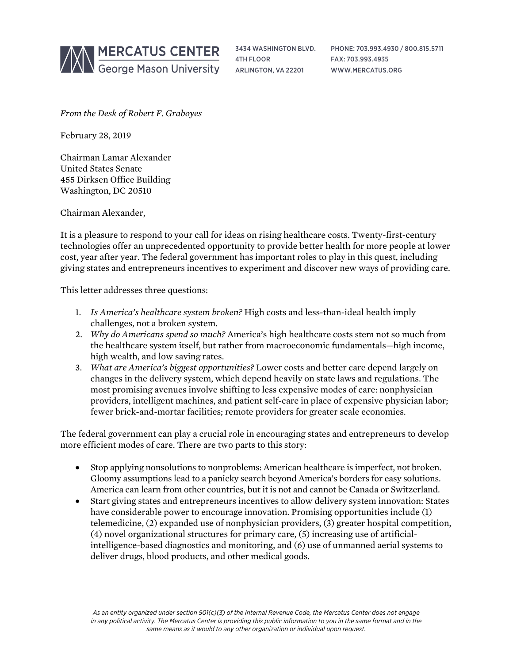

3434 WASHINGTON BLVD. 4TH FLOOR ARLINGTON, VA 22201

PHONE: 703.993.4930 / 800.815.5711 FAX: 703.993.4935 WWW.MERCATUS.ORG

*From the Desk of Robert F. Graboyes*

February 28, 2019

Chairman Lamar Alexander United States Senate 455 Dirksen Office Building Washington, DC 20510

Chairman Alexander,

It is a pleasure to respond to your call for ideas on rising healthcare costs. Twenty-first-century technologies offer an unprecedented opportunity to provide better health for more people at lower cost, year after year. The federal government has important roles to play in this quest, including giving states and entrepreneurs incentives to experiment and discover new ways of providing care.

This letter addresses three questions:

- 1. *Is America's healthcare system broken?* High costs and less-than-ideal health imply challenges, not a broken system.
- 2. *Why do Americans spend so much?* America's high healthcare costs stem not so much from the healthcare system itself, but rather from macroeconomic fundamentals—high income, high wealth, and low saving rates.
- 3. *What are America's biggest opportunities?* Lower costs and better care depend largely on changes in the delivery system, which depend heavily on state laws and regulations. The most promising avenues involve shifting to less expensive modes of care: nonphysician providers, intelligent machines, and patient self-care in place of expensive physician labor; fewer brick-and-mortar facilities; remote providers for greater scale economies.

The federal government can play a crucial role in encouraging states and entrepreneurs to develop more efficient modes of care. There are two parts to this story:

- Stop applying nonsolutions to nonproblems: American healthcare is imperfect, not broken. Gloomy assumptions lead to a panicky search beyond America's borders for easy solutions. America can learn from other countries, but it is not and cannot be Canada or Switzerland.
- Start giving states and entrepreneurs incentives to allow delivery system innovation: States have considerable power to encourage innovation. Promising opportunities include (1) telemedicine, (2) expanded use of nonphysician providers, (3) greater hospital competition, (4) novel organizational structures for primary care, (5) increasing use of artificialintelligence-based diagnostics and monitoring, and (6) use of unmanned aerial systems to deliver drugs, blood products, and other medical goods.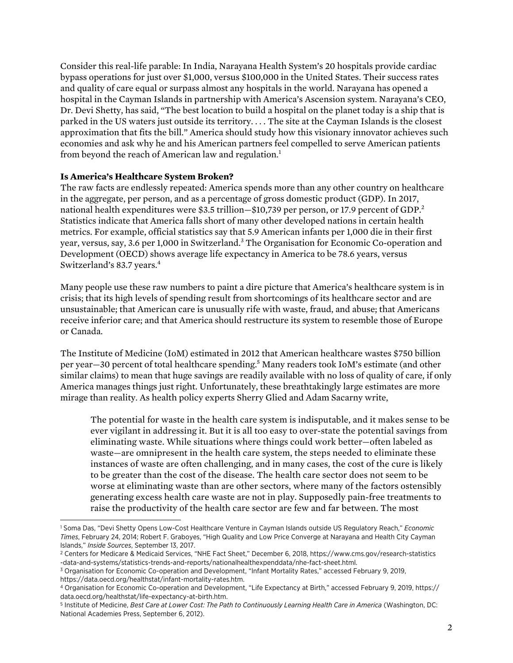Consider this real-life parable: In India, Narayana Health System's 20 hospitals provide cardiac bypass operations for just over \$1,000, versus \$100,000 in the United States. Their success rates and quality of care equal or surpass almost any hospitals in the world. Narayana has opened a hospital in the Cayman Islands in partnership with America's Ascension system. Narayana's CEO, Dr. Devi Shetty, has said, "The best location to build a hospital on the planet today is a ship that is parked in the US waters just outside its territory. . . . The site at the Cayman Islands is the closest approximation that fits the bill." America should study how this visionary innovator achieves such economies and ask why he and his American partners feel compelled to serve American patients from beyond the reach of American law and regulation.<sup>1</sup>

## **Is America's Healthcare System Broken?**

The raw facts are endlessly repeated: America spends more than any other country on healthcare in the aggregate, per person, and as a percentage of gross domestic product (GDP). In 2017, national health expenditures were \$3.5 trillion–\$10,739 per person, or 17.9 percent of GDP.<sup>2</sup> Statistics indicate that America falls short of many other developed nations in certain health metrics. For example, official statistics say that 5.9 American infants per 1,000 die in their first year, versus, say, 3.6 per 1,000 in Switzerland.<sup>3</sup> The Organisation for Economic Co-operation and Development (OECD) shows average life expectancy in America to be 78.6 years, versus Switzerland's 83.7 years.<sup>4</sup>

Many people use these raw numbers to paint a dire picture that America's healthcare system is in crisis; that its high levels of spending result from shortcomings of its healthcare sector and are unsustainable; that American care is unusually rife with waste, fraud, and abuse; that Americans receive inferior care; and that America should restructure its system to resemble those of Europe or Canada.

The Institute of Medicine (IoM) estimated in 2012 that American healthcare wastes \$750 billion per year—30 percent of total healthcare spending.5 Many readers took IoM's estimate (and other similar claims) to mean that huge savings are readily available with no loss of quality of care, if only America manages things just right. Unfortunately, these breathtakingly large estimates are more mirage than reality. As health policy experts Sherry Glied and Adam Sacarny write,

The potential for waste in the health care system is indisputable, and it makes sense to be ever vigilant in addressing it. But it is all too easy to over-state the potential savings from eliminating waste. While situations where things could work better—often labeled as waste—are omnipresent in the health care system, the steps needed to eliminate these instances of waste are often challenging, and in many cases, the cost of the cure is likely to be greater than the cost of the disease. The health care sector does not seem to be worse at eliminating waste than are other sectors, where many of the factors ostensibly generating excess health care waste are not in play. Supposedly pain-free treatments to raise the productivity of the health care sector are few and far between. The most

l <sup>1</sup> Soma Das, "Devi Shetty Opens Low-Cost Healthcare Venture in Cayman Islands outside US Regulatory Reach," *Economic Times*, February 24, 2014; Robert F. Graboyes, "High Quality and Low Price Converge at Narayana and Health City Cayman Islands," *Inside Sources*, September 13, 2017.

<sup>2</sup> Centers for Medicare & Medicaid Services, "NHE Fact Sheet," December 6, 2018, [https://www.cms.gov/research-statistics](https://www.cms.gov/research-statistics-data-and-systems/statistics-trends-and-reports/nationalhealthexpenddata/nhe-fact-sheet.html) [-data-and-systems/statistics-trends-and-reports/nationalhealthexpenddata/nhe-fact-sheet.html.](https://www.cms.gov/research-statistics-data-and-systems/statistics-trends-and-reports/nationalhealthexpenddata/nhe-fact-sheet.html)

<sup>3</sup> Organisation for Economic Co-operation and Development, "Infant Mortality Rates," accessed February 9, 2019, <https://data.oecd.org/healthstat/infant-mortality-rates.htm>.

<sup>4</sup> Organisation for Economic Co-operation and Development, "Life Expectancy at Birth," accessed February 9, 2019, [https://](https://data.oecd.org/healthstat/life-expectancy-at-birth.htm) [data.oecd.org/healthstat/life-expectancy-at-birth.htm](https://data.oecd.org/healthstat/life-expectancy-at-birth.htm).

<sup>5</sup> Institute of Medicine, *Best Care at Lower Cost: The Path to Continuously Learning Health Care in America* (Washington, DC: National Academies Press, September 6, 2012).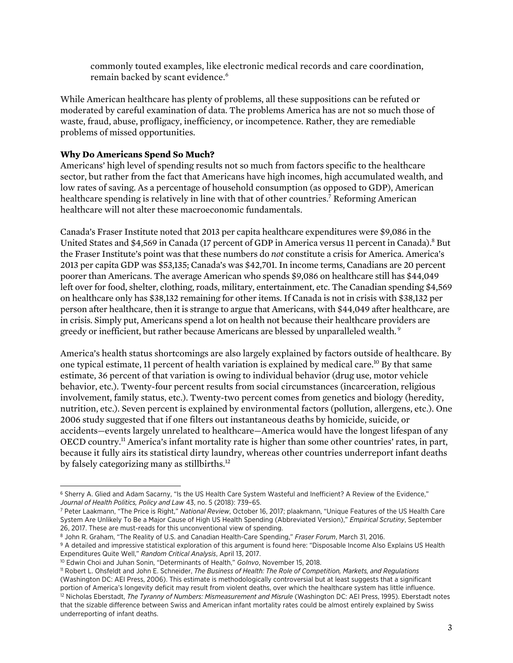commonly touted examples, like electronic medical records and care coordination, remain backed by scant evidence.<sup>6</sup>

While American healthcare has plenty of problems, all these suppositions can be refuted or moderated by careful examination of data. The problems America has are not so much those of waste, fraud, abuse, profligacy, inefficiency, or incompetence. Rather, they are remediable problems of missed opportunities.

## **Why Do Americans Spend So Much?**

Americans' high level of spending results not so much from factors specific to the healthcare sector, but rather from the fact that Americans have high incomes, high accumulated wealth, and low rates of saving. As a percentage of household consumption (as opposed to GDP), American healthcare spending is relatively in line with that of other countries.<sup>7</sup> Reforming American healthcare will not alter these macroeconomic fundamentals.

Canada's Fraser Institute noted that 2013 per capita healthcare expenditures were \$9,086 in the United States and \$4,569 in Canada (17 percent of GDP in America versus 11 percent in Canada).<sup>8</sup> But the Fraser Institute's point was that these numbers do *not* constitute a crisis for America. America's 2013 per capita GDP was \$53,135; Canada's was \$42,701. In income terms, Canadians are 20 percent poorer than Americans. The average American who spends \$9,086 on healthcare still has \$44,049 left over for food, shelter, clothing, roads, military, entertainment, etc. The Canadian spending \$4,569 on healthcare only has \$38,132 remaining for other items. If Canada is not in crisis with \$38,132 per person after healthcare, then it is strange to argue that Americans, with \$44,049 after healthcare, are in crisis. Simply put, Americans spend a lot on health not because their healthcare providers are greedy or inefficient, but rather because Americans are blessed by unparalleled wealth. <sup>9</sup>

America's health status shortcomings are also largely explained by factors outside of healthcare. By one typical estimate, 11 percent of health variation is explained by medical care.10 By that same estimate, 36 percent of that variation is owing to individual behavior (drug use, motor vehicle behavior, etc.). Twenty-four percent results from social circumstances (incarceration, religious involvement, family status, etc.). Twenty-two percent comes from genetics and biology (heredity, nutrition, etc.). Seven percent is explained by environmental factors (pollution, allergens, etc.). One 2006 study suggested that if one filters out instantaneous deaths by homicide, suicide, or accidents—events largely unrelated to healthcare—America would have the longest lifespan of any OECD country.11 America's infant mortality rate is higher than some other countries' rates, in part, because it fully airs its statistical dirty laundry, whereas other countries underreport infant deaths by falsely categorizing many as stillbirths.<sup>12</sup>

l <sup>6</sup> Sherry A. Glied and Adam Sacarny, "Is the US Health Care System Wasteful and Inefficient? A Review of the Evidence," *Journal of Health Politics, Policy and Law* 43, no. 5 (2018): 739–65.

<sup>7</sup> Peter Laakmann, "The Price is Right," *National Review*, October 16, 2017; plaakmann, "Unique Features of the US Health Care System Are Unlikely To Be a Major Cause of High US Health Spending (Abbreviated Version)," *Empirical Scrutiny*, September 26, 2017. These are must-reads for this unconventional view of spending.

<sup>8</sup> John R. Graham, "The Reality of U.S. and Canadian Health-Care Spending," *Fraser Forum*, March 31, 2016.

<sup>9</sup> A detailed and impressive statistical exploration of this argument is found here: "Disposable Income Also Explains US Health Expenditures Quite Well," *Random Critical Analysis*, April 13, 2017.

<sup>10</sup> Edwin Choi and Juhan Sonin, "Determinants of Health," *GoInvo*, November 15, 2018.

<sup>11</sup> Robert L. Ohsfeldt and John E. Schneider, *The Business of Health: The Role of Competition, Markets, and Regulations* (Washington DC: AEI Press, 2006). This estimate is methodologically controversial but at least suggests that a significant portion of America's longevity deficit may result from violent deaths, over which the healthcare system has little influence. <sup>12</sup> Nicholas Eberstadt, *The Tyranny of Numbers: Mismeasurement and Misrule* (Washington DC: AEI Press, 1995). Eberstadt notes that the sizable difference between Swiss and American infant mortality rates could be almost entirely explained by Swiss underreporting of infant deaths.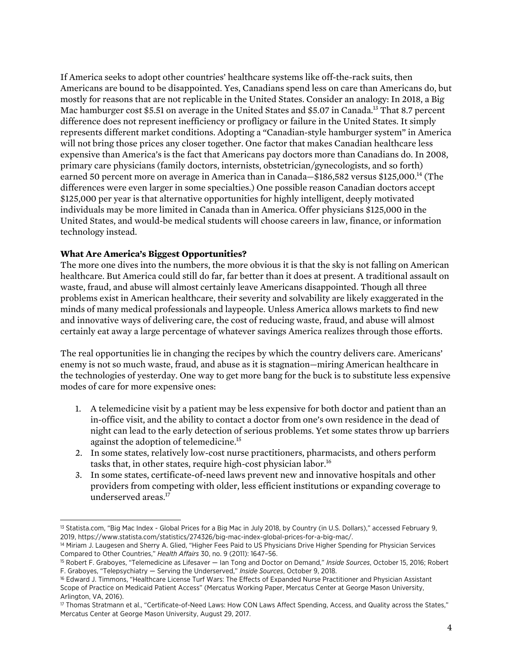If America seeks to adopt other countries' healthcare systems like off-the-rack suits, then Americans are bound to be disappointed. Yes, Canadians spend less on care than Americans do, but mostly for reasons that are not replicable in the United States. Consider an analogy: In 2018, a Big Mac hamburger cost \$5.51 on average in the United States and \$5.07 in Canada.<sup>13</sup> That 8.7 percent difference does not represent inefficiency or profligacy or failure in the United States. It simply represents different market conditions. Adopting a "Canadian-style hamburger system" in America will not bring those prices any closer together. One factor that makes Canadian healthcare less expensive than America's is the fact that Americans pay doctors more than Canadians do. In 2008, primary care physicians (family doctors, internists, obstetrician/gynecologists, and so forth) earned 50 percent more on average in America than in Canada—\$186,582 versus \$125,000.<sup>14</sup> (The differences were even larger in some specialties.) One possible reason Canadian doctors accept \$125,000 per year is that alternative opportunities for highly intelligent, deeply motivated individuals may be more limited in Canada than in America. Offer physicians \$125,000 in the United States, and would-be medical students will choose careers in law, finance, or information technology instead.

## **What Are America's Biggest Opportunities?**

The more one dives into the numbers, the more obvious it is that the sky is not falling on American healthcare. But America could still do far, far better than it does at present. A traditional assault on waste, fraud, and abuse will almost certainly leave Americans disappointed. Though all three problems exist in American healthcare, their severity and solvability are likely exaggerated in the minds of many medical professionals and laypeople. Unless America allows markets to find new and innovative ways of delivering care, the cost of reducing waste, fraud, and abuse will almost certainly eat away a large percentage of whatever savings America realizes through those efforts.

The real opportunities lie in changing the recipes by which the country delivers care. Americans' enemy is not so much waste, fraud, and abuse as it is stagnation—miring American healthcare in the technologies of yesterday. One way to get more bang for the buck is to substitute less expensive modes of care for more expensive ones:

- 1. A telemedicine visit by a patient may be less expensive for both doctor and patient than an in-office visit, and the ability to contact a doctor from one's own residence in the dead of night can lead to the early detection of serious problems. Yet some states throw up barriers against the adoption of telemedicine.15
- 2. In some states, relatively low-cost nurse practitioners, pharmacists, and others perform tasks that, in other states, require high-cost physician labor.<sup>16</sup>
- 3. In some states, certificate-of-need laws prevent new and innovative hospitals and other providers from competing with older, less efficient institutions or expanding coverage to underserved areas.17

l <sup>13</sup> Statista.com, "Big Mac Index - Global Prices for a Big Mac in July 2018, by Country (in U.S. Dollars)," accessed February 9, 2019, [https://www.statista.com/statistics/274326/big-mac-index-global-prices-for-a-big-mac/.](https://www.statista.com/statistics/274326/big-mac-index-global-prices-for-a-big-mac/)

<sup>14</sup> Miriam J. Laugesen and Sherry A. Glied, "Higher Fees Paid to US Physicians Drive Higher Spending for Physician Services Compared to Other Countries," *Health Affairs* 30, no. 9 (2011): 1647–56.

<sup>15</sup> Robert F. Graboyes, "Telemedicine as Lifesaver — Ian Tong and Doctor on Demand," *Inside Sources*, October 15, 2016; Robert F. Graboyes, "Telepsychiatry — Serving the Underserved," *Inside Sources*, October 9, 2018.

<sup>&</sup>lt;sup>16</sup> Edward J. Timmons, "Healthcare License Turf Wars: The Effects of Expanded Nurse Practitioner and Physician Assistant Scope of Practice on Medicaid Patient Access" (Mercatus Working Paper, Mercatus Center at George Mason University, Arlington, VA, 2016).

<sup>17</sup> Thomas Stratmann et al., "Certificate-of-Need Laws: How CON Laws Affect Spending, Access, and Quality across the States," Mercatus Center at George Mason University, August 29, 2017.